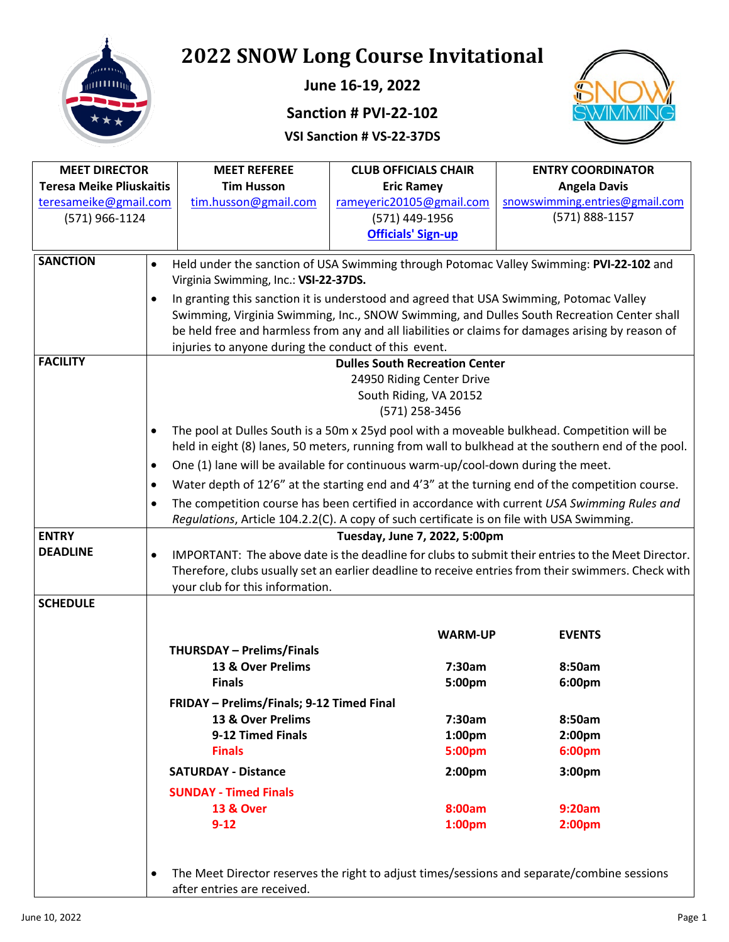

**June 16-19, 2022** 

# **Sanction # PVI-22-102**

#### **VSI Sanction # VS-22-37DS**



| <b>MEET DIRECTOR</b>            |           | <b>MEET REFEREE</b>                                  | <b>CLUB OFFICIALS CHAIR</b>                                                               | <b>ENTRY COORDINATOR</b>                                                                            |
|---------------------------------|-----------|------------------------------------------------------|-------------------------------------------------------------------------------------------|-----------------------------------------------------------------------------------------------------|
| <b>Teresa Meike Pliuskaitis</b> |           | <b>Tim Husson</b>                                    | <b>Eric Ramey</b>                                                                         | <b>Angela Davis</b>                                                                                 |
| teresameike@gmail.com           |           | tim.husson@gmail.com                                 | rameyeric20105@gmail.com                                                                  | snowswimming.entries@gmail.com                                                                      |
| (571) 966-1124                  |           |                                                      | (571) 449-1956                                                                            | (571) 888-1157                                                                                      |
|                                 |           |                                                      | <b>Officials' Sign-up</b>                                                                 |                                                                                                     |
| <b>SANCTION</b>                 |           |                                                      |                                                                                           |                                                                                                     |
|                                 | $\bullet$ | Virginia Swimming, Inc.: VSI-22-37DS.                |                                                                                           | Held under the sanction of USA Swimming through Potomac Valley Swimming: PVI-22-102 and             |
|                                 | $\bullet$ |                                                      | In granting this sanction it is understood and agreed that USA Swimming, Potomac Valley   |                                                                                                     |
|                                 |           |                                                      |                                                                                           | Swimming, Virginia Swimming, Inc., SNOW Swimming, and Dulles South Recreation Center shall          |
|                                 |           |                                                      |                                                                                           | be held free and harmless from any and all liabilities or claims for damages arising by reason of   |
|                                 |           | injuries to anyone during the conduct of this event. |                                                                                           |                                                                                                     |
| <b>FACILITY</b>                 |           |                                                      | <b>Dulles South Recreation Center</b>                                                     |                                                                                                     |
|                                 |           |                                                      | 24950 Riding Center Drive                                                                 |                                                                                                     |
|                                 |           |                                                      | South Riding, VA 20152                                                                    |                                                                                                     |
|                                 |           |                                                      | (571) 258-3456                                                                            |                                                                                                     |
|                                 | $\bullet$ |                                                      |                                                                                           | The pool at Dulles South is a 50m x 25yd pool with a moveable bulkhead. Competition will be         |
|                                 |           |                                                      |                                                                                           | held in eight (8) lanes, 50 meters, running from wall to bulkhead at the southern end of the pool.  |
|                                 | $\bullet$ |                                                      | One (1) lane will be available for continuous warm-up/cool-down during the meet.          |                                                                                                     |
|                                 | $\bullet$ |                                                      |                                                                                           | Water depth of 12'6" at the starting end and 4'3" at the turning end of the competition course.     |
|                                 | $\bullet$ |                                                      |                                                                                           | The competition course has been certified in accordance with current USA Swimming Rules and         |
|                                 |           |                                                      | Regulations, Article 104.2.2(C). A copy of such certificate is on file with USA Swimming. |                                                                                                     |
| <b>ENTRY</b>                    |           |                                                      | Tuesday, June 7, 2022, 5:00pm                                                             |                                                                                                     |
| <b>DEADLINE</b>                 | $\bullet$ |                                                      |                                                                                           | IMPORTANT: The above date is the deadline for clubs to submit their entries to the Meet Director.   |
|                                 |           |                                                      |                                                                                           | Therefore, clubs usually set an earlier deadline to receive entries from their swimmers. Check with |
|                                 |           | your club for this information.                      |                                                                                           |                                                                                                     |
| <b>SCHEDULE</b>                 |           |                                                      |                                                                                           |                                                                                                     |
|                                 |           |                                                      | <b>WARM-UP</b>                                                                            | <b>EVENTS</b>                                                                                       |
|                                 |           | <b>THURSDAY - Prelims/Finals</b>                     |                                                                                           |                                                                                                     |
|                                 |           | 13 & Over Prelims                                    | 7:30am                                                                                    | 8:50am                                                                                              |
|                                 |           | <b>Finals</b>                                        | 5:00pm                                                                                    | 6:00pm                                                                                              |
|                                 |           | FRIDAY - Prelims/Finals; 9-12 Timed Final            |                                                                                           |                                                                                                     |
|                                 |           | 13 & Over Prelims                                    | 7:30am                                                                                    | 8:50am                                                                                              |
|                                 |           | 9-12 Timed Finals                                    | 1:00 <sub>pm</sub>                                                                        | 2:00 <sub>pm</sub>                                                                                  |
|                                 |           | <b>Finals</b>                                        | 5:00pm                                                                                    | 6:00pm                                                                                              |
|                                 |           | <b>SATURDAY - Distance</b>                           | 2:00 <sub>pm</sub>                                                                        | 3:00pm                                                                                              |
|                                 |           | <b>SUNDAY - Timed Finals</b>                         |                                                                                           |                                                                                                     |
|                                 |           | <b>13 &amp; Over</b>                                 | 8:00am                                                                                    | 9:20am                                                                                              |
|                                 |           | $9 - 12$                                             | 1:00 <sub>pm</sub>                                                                        | 2:00pm                                                                                              |
|                                 |           |                                                      |                                                                                           |                                                                                                     |
|                                 |           |                                                      |                                                                                           |                                                                                                     |
|                                 | $\bullet$ |                                                      |                                                                                           | The Meet Director reserves the right to adjust times/sessions and separate/combine sessions         |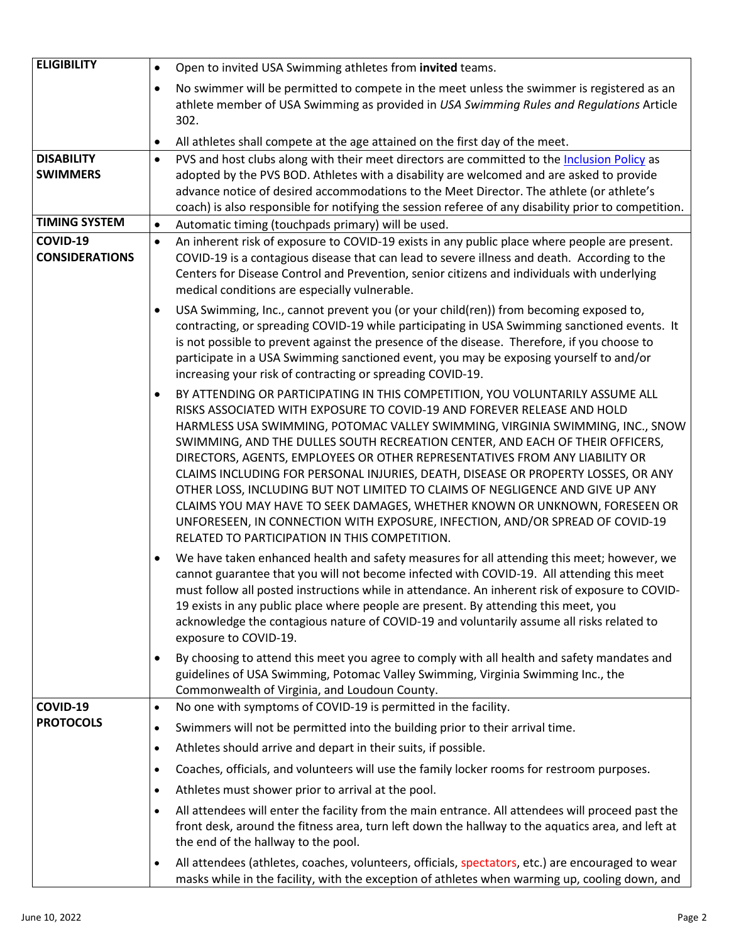| <b>ELIGIBILITY</b>                   | Open to invited USA Swimming athletes from invited teams.<br>$\bullet$                                                                                                                                                                                                                                                                                                                                                                                                                                                                                                                                                                                                                                                                                                                                       |
|--------------------------------------|--------------------------------------------------------------------------------------------------------------------------------------------------------------------------------------------------------------------------------------------------------------------------------------------------------------------------------------------------------------------------------------------------------------------------------------------------------------------------------------------------------------------------------------------------------------------------------------------------------------------------------------------------------------------------------------------------------------------------------------------------------------------------------------------------------------|
|                                      | No swimmer will be permitted to compete in the meet unless the swimmer is registered as an<br>$\bullet$<br>athlete member of USA Swimming as provided in USA Swimming Rules and Regulations Article<br>302.                                                                                                                                                                                                                                                                                                                                                                                                                                                                                                                                                                                                  |
|                                      | All athletes shall compete at the age attained on the first day of the meet.<br>٠                                                                                                                                                                                                                                                                                                                                                                                                                                                                                                                                                                                                                                                                                                                            |
| <b>DISABILITY</b><br><b>SWIMMERS</b> | PVS and host clubs along with their meet directors are committed to the Inclusion Policy as<br>$\bullet$<br>adopted by the PVS BOD. Athletes with a disability are welcomed and are asked to provide<br>advance notice of desired accommodations to the Meet Director. The athlete (or athlete's<br>coach) is also responsible for notifying the session referee of any disability prior to competition.                                                                                                                                                                                                                                                                                                                                                                                                     |
| <b>TIMING SYSTEM</b>                 | Automatic timing (touchpads primary) will be used.<br>$\bullet$                                                                                                                                                                                                                                                                                                                                                                                                                                                                                                                                                                                                                                                                                                                                              |
| COVID-19<br><b>CONSIDERATIONS</b>    | An inherent risk of exposure to COVID-19 exists in any public place where people are present.<br>$\bullet$<br>COVID-19 is a contagious disease that can lead to severe illness and death. According to the<br>Centers for Disease Control and Prevention, senior citizens and individuals with underlying<br>medical conditions are especially vulnerable.                                                                                                                                                                                                                                                                                                                                                                                                                                                   |
|                                      | USA Swimming, Inc., cannot prevent you (or your child(ren)) from becoming exposed to,<br>٠<br>contracting, or spreading COVID-19 while participating in USA Swimming sanctioned events. It<br>is not possible to prevent against the presence of the disease. Therefore, if you choose to<br>participate in a USA Swimming sanctioned event, you may be exposing yourself to and/or<br>increasing your risk of contracting or spreading COVID-19.                                                                                                                                                                                                                                                                                                                                                            |
|                                      | BY ATTENDING OR PARTICIPATING IN THIS COMPETITION, YOU VOLUNTARILY ASSUME ALL<br>$\bullet$<br>RISKS ASSOCIATED WITH EXPOSURE TO COVID-19 AND FOREVER RELEASE AND HOLD<br>HARMLESS USA SWIMMING, POTOMAC VALLEY SWIMMING, VIRGINIA SWIMMING, INC., SNOW<br>SWIMMING, AND THE DULLES SOUTH RECREATION CENTER, AND EACH OF THEIR OFFICERS,<br>DIRECTORS, AGENTS, EMPLOYEES OR OTHER REPRESENTATIVES FROM ANY LIABILITY OR<br>CLAIMS INCLUDING FOR PERSONAL INJURIES, DEATH, DISEASE OR PROPERTY LOSSES, OR ANY<br>OTHER LOSS, INCLUDING BUT NOT LIMITED TO CLAIMS OF NEGLIGENCE AND GIVE UP ANY<br>CLAIMS YOU MAY HAVE TO SEEK DAMAGES, WHETHER KNOWN OR UNKNOWN, FORESEEN OR<br>UNFORESEEN, IN CONNECTION WITH EXPOSURE, INFECTION, AND/OR SPREAD OF COVID-19<br>RELATED TO PARTICIPATION IN THIS COMPETITION. |
|                                      | We have taken enhanced health and safety measures for all attending this meet; however, we<br>$\bullet$<br>cannot guarantee that you will not become infected with COVID-19. All attending this meet<br>must follow all posted instructions while in attendance. An inherent risk of exposure to COVID-<br>19 exists in any public place where people are present. By attending this meet, you<br>acknowledge the contagious nature of COVID-19 and voluntarily assume all risks related to<br>exposure to COVID-19.                                                                                                                                                                                                                                                                                         |
|                                      | By choosing to attend this meet you agree to comply with all health and safety mandates and<br>$\bullet$<br>guidelines of USA Swimming, Potomac Valley Swimming, Virginia Swimming Inc., the<br>Commonwealth of Virginia, and Loudoun County.                                                                                                                                                                                                                                                                                                                                                                                                                                                                                                                                                                |
| COVID-19                             | No one with symptoms of COVID-19 is permitted in the facility.<br>$\bullet$                                                                                                                                                                                                                                                                                                                                                                                                                                                                                                                                                                                                                                                                                                                                  |
| <b>PROTOCOLS</b>                     | Swimmers will not be permitted into the building prior to their arrival time.<br>$\bullet$                                                                                                                                                                                                                                                                                                                                                                                                                                                                                                                                                                                                                                                                                                                   |
|                                      | Athletes should arrive and depart in their suits, if possible.<br>$\bullet$                                                                                                                                                                                                                                                                                                                                                                                                                                                                                                                                                                                                                                                                                                                                  |
|                                      | Coaches, officials, and volunteers will use the family locker rooms for restroom purposes.<br>$\bullet$                                                                                                                                                                                                                                                                                                                                                                                                                                                                                                                                                                                                                                                                                                      |
|                                      | Athletes must shower prior to arrival at the pool.<br>$\bullet$                                                                                                                                                                                                                                                                                                                                                                                                                                                                                                                                                                                                                                                                                                                                              |
|                                      | All attendees will enter the facility from the main entrance. All attendees will proceed past the<br>$\bullet$<br>front desk, around the fitness area, turn left down the hallway to the aquatics area, and left at<br>the end of the hallway to the pool.                                                                                                                                                                                                                                                                                                                                                                                                                                                                                                                                                   |
|                                      | All attendees (athletes, coaches, volunteers, officials, spectators, etc.) are encouraged to wear<br>$\bullet$<br>masks while in the facility, with the exception of athletes when warming up, cooling down, and                                                                                                                                                                                                                                                                                                                                                                                                                                                                                                                                                                                             |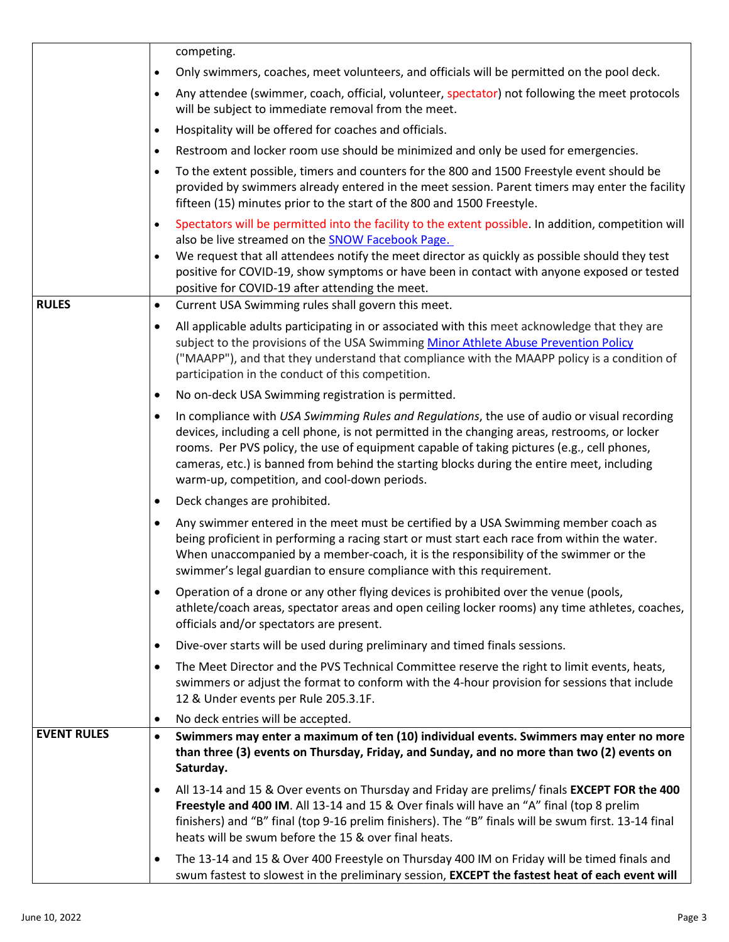|                    | competing.                                                                                                                                                                                                                                                                                                                                                                                                                                    |
|--------------------|-----------------------------------------------------------------------------------------------------------------------------------------------------------------------------------------------------------------------------------------------------------------------------------------------------------------------------------------------------------------------------------------------------------------------------------------------|
|                    | Only swimmers, coaches, meet volunteers, and officials will be permitted on the pool deck.<br>٠                                                                                                                                                                                                                                                                                                                                               |
|                    | Any attendee (swimmer, coach, official, volunteer, spectator) not following the meet protocols<br>$\bullet$<br>will be subject to immediate removal from the meet.                                                                                                                                                                                                                                                                            |
|                    | Hospitality will be offered for coaches and officials.<br>$\bullet$                                                                                                                                                                                                                                                                                                                                                                           |
|                    | Restroom and locker room use should be minimized and only be used for emergencies.<br>٠                                                                                                                                                                                                                                                                                                                                                       |
|                    | To the extent possible, timers and counters for the 800 and 1500 Freestyle event should be<br>$\bullet$                                                                                                                                                                                                                                                                                                                                       |
|                    | provided by swimmers already entered in the meet session. Parent timers may enter the facility<br>fifteen (15) minutes prior to the start of the 800 and 1500 Freestyle.                                                                                                                                                                                                                                                                      |
|                    | Spectators will be permitted into the facility to the extent possible. In addition, competition will<br>٠                                                                                                                                                                                                                                                                                                                                     |
|                    | also be live streamed on the SNOW Facebook Page.<br>We request that all attendees notify the meet director as quickly as possible should they test                                                                                                                                                                                                                                                                                            |
|                    | $\bullet$<br>positive for COVID-19, show symptoms or have been in contact with anyone exposed or tested<br>positive for COVID-19 after attending the meet.                                                                                                                                                                                                                                                                                    |
| <b>RULES</b>       | Current USA Swimming rules shall govern this meet.<br>٠                                                                                                                                                                                                                                                                                                                                                                                       |
|                    | All applicable adults participating in or associated with this meet acknowledge that they are<br>٠<br>subject to the provisions of the USA Swimming Minor Athlete Abuse Prevention Policy<br>("MAAPP"), and that they understand that compliance with the MAAPP policy is a condition of<br>participation in the conduct of this competition.                                                                                                 |
|                    | No on-deck USA Swimming registration is permitted.<br>٠                                                                                                                                                                                                                                                                                                                                                                                       |
|                    | In compliance with USA Swimming Rules and Regulations, the use of audio or visual recording<br>٠<br>devices, including a cell phone, is not permitted in the changing areas, restrooms, or locker<br>rooms. Per PVS policy, the use of equipment capable of taking pictures (e.g., cell phones,<br>cameras, etc.) is banned from behind the starting blocks during the entire meet, including<br>warm-up, competition, and cool-down periods. |
|                    | Deck changes are prohibited.<br>٠                                                                                                                                                                                                                                                                                                                                                                                                             |
|                    | Any swimmer entered in the meet must be certified by a USA Swimming member coach as<br>being proficient in performing a racing start or must start each race from within the water.<br>When unaccompanied by a member-coach, it is the responsibility of the swimmer or the<br>swimmer's legal guardian to ensure compliance with this requirement.                                                                                           |
|                    | Operation of a drone or any other flying devices is prohibited over the venue (pools,<br>$\bullet$<br>athlete/coach areas, spectator areas and open ceiling locker rooms) any time athletes, coaches,<br>officials and/or spectators are present.                                                                                                                                                                                             |
|                    | Dive-over starts will be used during preliminary and timed finals sessions.<br>٠                                                                                                                                                                                                                                                                                                                                                              |
|                    | The Meet Director and the PVS Technical Committee reserve the right to limit events, heats,<br>٠<br>swimmers or adjust the format to conform with the 4-hour provision for sessions that include<br>12 & Under events per Rule 205.3.1F.                                                                                                                                                                                                      |
|                    | No deck entries will be accepted.<br>$\bullet$                                                                                                                                                                                                                                                                                                                                                                                                |
| <b>EVENT RULES</b> | Swimmers may enter a maximum of ten (10) individual events. Swimmers may enter no more<br>$\bullet$<br>than three (3) events on Thursday, Friday, and Sunday, and no more than two (2) events on<br>Saturday.                                                                                                                                                                                                                                 |
|                    | All 13-14 and 15 & Over events on Thursday and Friday are prelims/ finals EXCEPT FOR the 400<br>٠<br>Freestyle and 400 IM. All 13-14 and 15 & Over finals will have an "A" final (top 8 prelim<br>finishers) and "B" final (top 9-16 prelim finishers). The "B" finals will be swum first. 13-14 final<br>heats will be swum before the 15 & over final heats.                                                                                |
|                    | The 13-14 and 15 & Over 400 Freestyle on Thursday 400 IM on Friday will be timed finals and<br>٠<br>swum fastest to slowest in the preliminary session, EXCEPT the fastest heat of each event will                                                                                                                                                                                                                                            |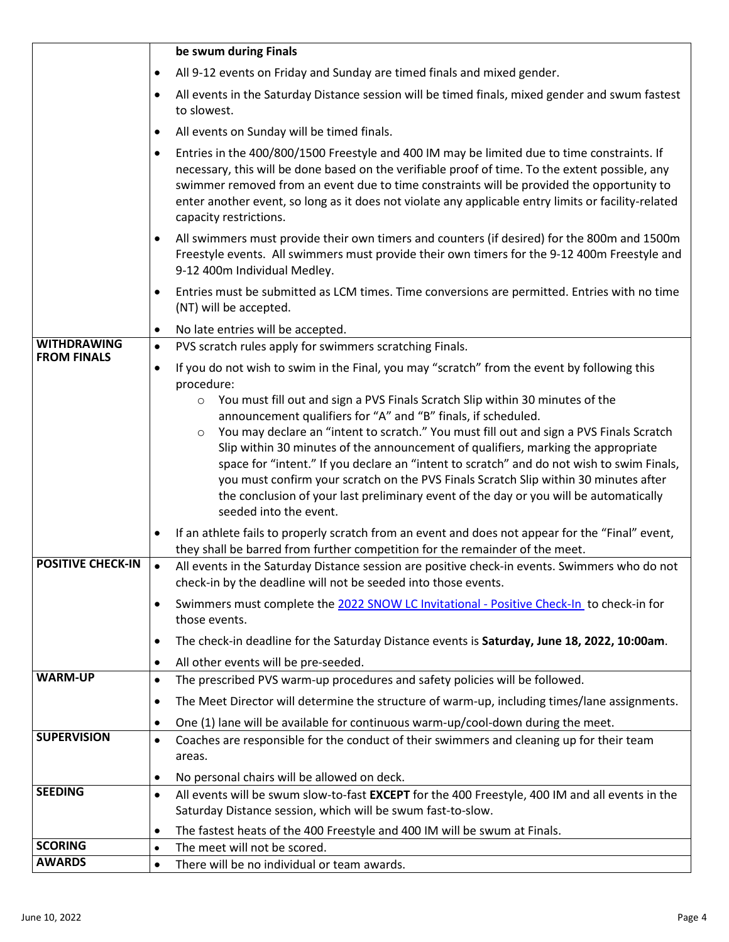|                                          | be swum during Finals                                                                                                                                                                                                                                                                                                                                                                                                                                                                                                                                                                                                                                        |
|------------------------------------------|--------------------------------------------------------------------------------------------------------------------------------------------------------------------------------------------------------------------------------------------------------------------------------------------------------------------------------------------------------------------------------------------------------------------------------------------------------------------------------------------------------------------------------------------------------------------------------------------------------------------------------------------------------------|
|                                          | All 9-12 events on Friday and Sunday are timed finals and mixed gender.<br>٠                                                                                                                                                                                                                                                                                                                                                                                                                                                                                                                                                                                 |
|                                          | All events in the Saturday Distance session will be timed finals, mixed gender and swum fastest<br>$\bullet$<br>to slowest.                                                                                                                                                                                                                                                                                                                                                                                                                                                                                                                                  |
|                                          | All events on Sunday will be timed finals.<br>٠                                                                                                                                                                                                                                                                                                                                                                                                                                                                                                                                                                                                              |
|                                          | Entries in the 400/800/1500 Freestyle and 400 IM may be limited due to time constraints. If<br>٠<br>necessary, this will be done based on the verifiable proof of time. To the extent possible, any<br>swimmer removed from an event due to time constraints will be provided the opportunity to<br>enter another event, so long as it does not violate any applicable entry limits or facility-related<br>capacity restrictions.                                                                                                                                                                                                                            |
|                                          | All swimmers must provide their own timers and counters (if desired) for the 800m and 1500m<br>$\bullet$<br>Freestyle events. All swimmers must provide their own timers for the 9-12 400m Freestyle and<br>9-12 400m Individual Medley.                                                                                                                                                                                                                                                                                                                                                                                                                     |
|                                          | Entries must be submitted as LCM times. Time conversions are permitted. Entries with no time<br>٠<br>(NT) will be accepted.                                                                                                                                                                                                                                                                                                                                                                                                                                                                                                                                  |
|                                          | No late entries will be accepted.<br>$\bullet$                                                                                                                                                                                                                                                                                                                                                                                                                                                                                                                                                                                                               |
| <b>WITHDRAWING</b><br><b>FROM FINALS</b> | PVS scratch rules apply for swimmers scratching Finals.<br>$\bullet$                                                                                                                                                                                                                                                                                                                                                                                                                                                                                                                                                                                         |
|                                          | If you do not wish to swim in the Final, you may "scratch" from the event by following this<br>$\bullet$<br>procedure:                                                                                                                                                                                                                                                                                                                                                                                                                                                                                                                                       |
|                                          | You must fill out and sign a PVS Finals Scratch Slip within 30 minutes of the<br>$\circ$<br>announcement qualifiers for "A" and "B" finals, if scheduled.<br>You may declare an "intent to scratch." You must fill out and sign a PVS Finals Scratch<br>$\circ$<br>Slip within 30 minutes of the announcement of qualifiers, marking the appropriate<br>space for "intent." If you declare an "intent to scratch" and do not wish to swim Finals,<br>you must confirm your scratch on the PVS Finals Scratch Slip within 30 minutes after<br>the conclusion of your last preliminary event of the day or you will be automatically<br>seeded into the event. |
|                                          | If an athlete fails to properly scratch from an event and does not appear for the "Final" event,<br>they shall be barred from further competition for the remainder of the meet.                                                                                                                                                                                                                                                                                                                                                                                                                                                                             |
| <b>POSITIVE CHECK-IN</b>                 | All events in the Saturday Distance session are positive check-in events. Swimmers who do not<br>$\bullet$<br>check-in by the deadline will not be seeded into those events.                                                                                                                                                                                                                                                                                                                                                                                                                                                                                 |
|                                          | Swimmers must complete the 2022 SNOW LC Invitational - Positive Check-In to check-in for<br>٠<br>those events.                                                                                                                                                                                                                                                                                                                                                                                                                                                                                                                                               |
|                                          | The check-in deadline for the Saturday Distance events is Saturday, June 18, 2022, 10:00am.<br>٠                                                                                                                                                                                                                                                                                                                                                                                                                                                                                                                                                             |
|                                          | All other events will be pre-seeded.<br>٠                                                                                                                                                                                                                                                                                                                                                                                                                                                                                                                                                                                                                    |
| <b>WARM-UP</b>                           | The prescribed PVS warm-up procedures and safety policies will be followed.<br>$\bullet$                                                                                                                                                                                                                                                                                                                                                                                                                                                                                                                                                                     |
|                                          | The Meet Director will determine the structure of warm-up, including times/lane assignments.<br>٠                                                                                                                                                                                                                                                                                                                                                                                                                                                                                                                                                            |
|                                          | One (1) lane will be available for continuous warm-up/cool-down during the meet.<br>٠                                                                                                                                                                                                                                                                                                                                                                                                                                                                                                                                                                        |
| <b>SUPERVISION</b>                       | Coaches are responsible for the conduct of their swimmers and cleaning up for their team<br>$\bullet$<br>areas.                                                                                                                                                                                                                                                                                                                                                                                                                                                                                                                                              |
|                                          | No personal chairs will be allowed on deck.<br>٠                                                                                                                                                                                                                                                                                                                                                                                                                                                                                                                                                                                                             |
| <b>SEEDING</b>                           | All events will be swum slow-to-fast EXCEPT for the 400 Freestyle, 400 IM and all events in the<br>$\bullet$<br>Saturday Distance session, which will be swum fast-to-slow.                                                                                                                                                                                                                                                                                                                                                                                                                                                                                  |
|                                          | The fastest heats of the 400 Freestyle and 400 IM will be swum at Finals.<br>$\bullet$                                                                                                                                                                                                                                                                                                                                                                                                                                                                                                                                                                       |
| <b>SCORING</b>                           | The meet will not be scored.<br>$\bullet$                                                                                                                                                                                                                                                                                                                                                                                                                                                                                                                                                                                                                    |
| <b>AWARDS</b>                            | There will be no individual or team awards.<br>$\bullet$                                                                                                                                                                                                                                                                                                                                                                                                                                                                                                                                                                                                     |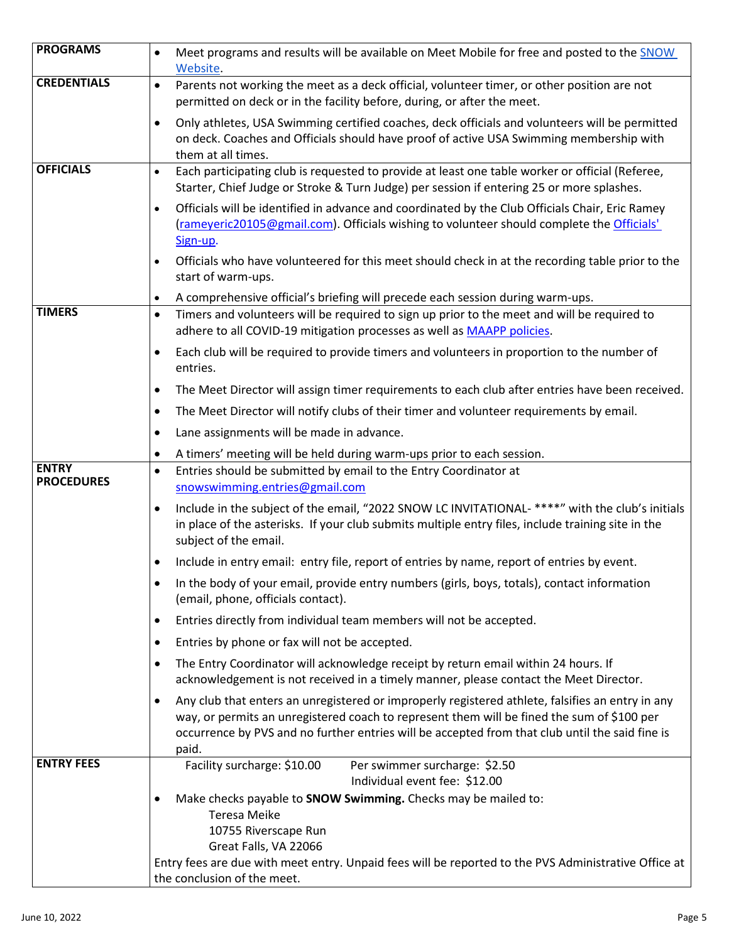| <b>PROGRAMS</b>                   | Meet programs and results will be available on Meet Mobile for free and posted to the SNOW<br>$\bullet$<br>Website.                                                                                                                                                                                             |
|-----------------------------------|-----------------------------------------------------------------------------------------------------------------------------------------------------------------------------------------------------------------------------------------------------------------------------------------------------------------|
| <b>CREDENTIALS</b>                | Parents not working the meet as a deck official, volunteer timer, or other position are not<br>$\bullet$<br>permitted on deck or in the facility before, during, or after the meet.                                                                                                                             |
|                                   | Only athletes, USA Swimming certified coaches, deck officials and volunteers will be permitted<br>$\bullet$<br>on deck. Coaches and Officials should have proof of active USA Swimming membership with<br>them at all times.                                                                                    |
| <b>OFFICIALS</b>                  | Each participating club is requested to provide at least one table worker or official (Referee,<br>$\bullet$<br>Starter, Chief Judge or Stroke & Turn Judge) per session if entering 25 or more splashes.                                                                                                       |
|                                   | Officials will be identified in advance and coordinated by the Club Officials Chair, Eric Ramey<br>$\bullet$<br>(rameyeric20105@gmail.com). Officials wishing to volunteer should complete the Officials'<br>Sign-up.                                                                                           |
|                                   | Officials who have volunteered for this meet should check in at the recording table prior to the<br>$\bullet$<br>start of warm-ups.                                                                                                                                                                             |
|                                   | A comprehensive official's briefing will precede each session during warm-ups.<br>٠                                                                                                                                                                                                                             |
| <b>TIMERS</b>                     | Timers and volunteers will be required to sign up prior to the meet and will be required to<br>$\bullet$<br>adhere to all COVID-19 mitigation processes as well as MAAPP policies.                                                                                                                              |
|                                   | Each club will be required to provide timers and volunteers in proportion to the number of<br>٠<br>entries.                                                                                                                                                                                                     |
|                                   | The Meet Director will assign timer requirements to each club after entries have been received.<br>$\bullet$                                                                                                                                                                                                    |
|                                   | The Meet Director will notify clubs of their timer and volunteer requirements by email.<br>$\bullet$                                                                                                                                                                                                            |
|                                   | Lane assignments will be made in advance.<br>$\bullet$                                                                                                                                                                                                                                                          |
|                                   |                                                                                                                                                                                                                                                                                                                 |
|                                   | A timers' meeting will be held during warm-ups prior to each session.<br>٠                                                                                                                                                                                                                                      |
| <b>ENTRY</b><br><b>PROCEDURES</b> | Entries should be submitted by email to the Entry Coordinator at<br>$\bullet$<br>snowswimming.entries@gmail.com                                                                                                                                                                                                 |
|                                   | Include in the subject of the email, "2022 SNOW LC INVITATIONAL-****" with the club's initials<br>$\bullet$<br>in place of the asterisks. If your club submits multiple entry files, include training site in the<br>subject of the email.                                                                      |
|                                   | Include in entry email: entry file, report of entries by name, report of entries by event.<br>٠                                                                                                                                                                                                                 |
|                                   | In the body of your email, provide entry numbers (girls, boys, totals), contact information<br>(email, phone, officials contact).                                                                                                                                                                               |
|                                   | Entries directly from individual team members will not be accepted.<br>٠                                                                                                                                                                                                                                        |
|                                   | ٠                                                                                                                                                                                                                                                                                                               |
|                                   | Entries by phone or fax will not be accepted.<br>٠                                                                                                                                                                                                                                                              |
|                                   | The Entry Coordinator will acknowledge receipt by return email within 24 hours. If<br>acknowledgement is not received in a timely manner, please contact the Meet Director.                                                                                                                                     |
|                                   | Any club that enters an unregistered or improperly registered athlete, falsifies an entry in any<br>٠<br>way, or permits an unregistered coach to represent them will be fined the sum of \$100 per<br>occurrence by PVS and no further entries will be accepted from that club until the said fine is<br>paid. |
| <b>ENTRY FEES</b>                 | Facility surcharge: \$10.00<br>Per swimmer surcharge: \$2.50                                                                                                                                                                                                                                                    |
|                                   | Individual event fee: \$12.00                                                                                                                                                                                                                                                                                   |
|                                   | Make checks payable to SNOW Swimming. Checks may be mailed to:                                                                                                                                                                                                                                                  |
|                                   | <b>Teresa Meike</b>                                                                                                                                                                                                                                                                                             |
|                                   | 10755 Riverscape Run                                                                                                                                                                                                                                                                                            |
|                                   | Great Falls, VA 22066<br>Entry fees are due with meet entry. Unpaid fees will be reported to the PVS Administrative Office at                                                                                                                                                                                   |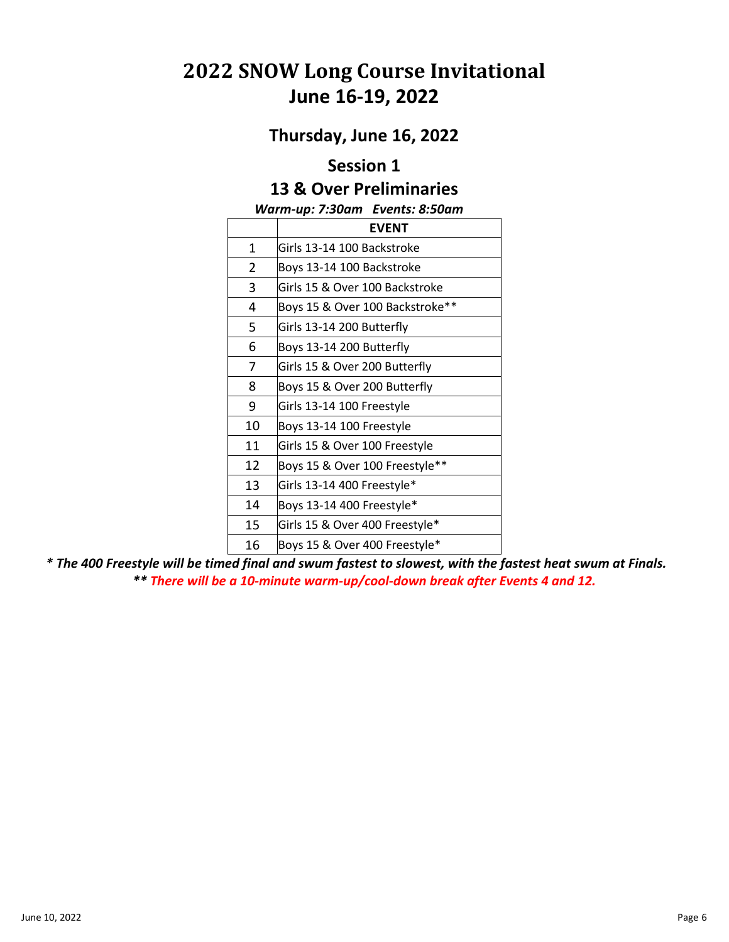# **2022 SNOW Long Course Invitational June 16-19, 2022**

### **Thursday, June 16, 2022**

## **Session 1**

### **13 & Over Preliminaries**

#### *Warm-up: 7:30am Events: 8:50am*

|    | <b>EVENT</b>                    |
|----|---------------------------------|
| 1  | Girls 13-14 100 Backstroke      |
| 2  | Boys 13-14 100 Backstroke       |
| 3  | Girls 15 & Over 100 Backstroke  |
| 4  | Boys 15 & Over 100 Backstroke** |
| 5  | Girls 13-14 200 Butterfly       |
| 6  | Boys 13-14 200 Butterfly        |
| 7  | Girls 15 & Over 200 Butterfly   |
| 8  | Boys 15 & Over 200 Butterfly    |
| 9  | Girls 13-14 100 Freestyle       |
| 10 | Boys 13-14 100 Freestyle        |
| 11 | Girls 15 & Over 100 Freestyle   |
| 12 | Boys 15 & Over 100 Freestyle**  |
| 13 | Girls 13-14 400 Freestyle*      |
| 14 | Boys 13-14 400 Freestyle*       |
| 15 | Girls 15 & Over 400 Freestyle*  |
| 16 | Boys 15 & Over 400 Freestyle*   |

*\* The 400 Freestyle will be timed final and swum fastest to slowest, with the fastest heat swum at Finals. \*\* There will be a 10-minute warm-up/cool-down break after Events 4 and 12.*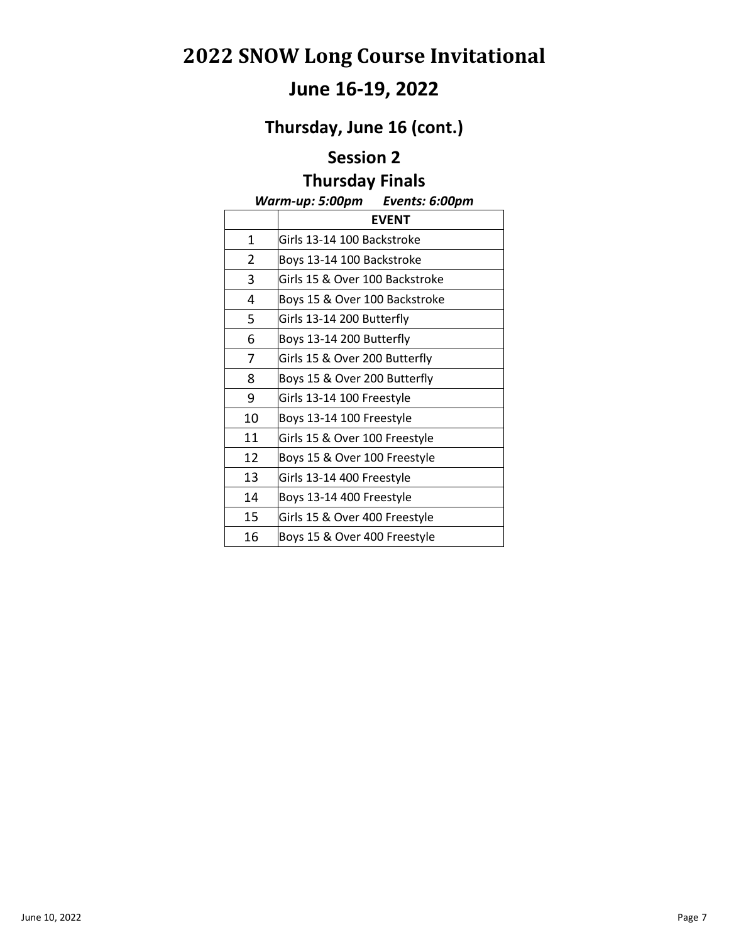# **June 16-19, 2022**

**Thursday, June 16 (cont.)**

### **Session 2**

## **Thursday Finals**

#### *Warm-up: 5:00pm Events: 6:00pm*

|                | <b>EVENT</b>                   |
|----------------|--------------------------------|
| 1              | Girls 13-14 100 Backstroke     |
| $\overline{2}$ | Boys 13-14 100 Backstroke      |
| 3              | Girls 15 & Over 100 Backstroke |
| 4              | Boys 15 & Over 100 Backstroke  |
| 5              | Girls 13-14 200 Butterfly      |
| 6              | Boys 13-14 200 Butterfly       |
| 7              | Girls 15 & Over 200 Butterfly  |
| 8              | Boys 15 & Over 200 Butterfly   |
| 9              | Girls 13-14 100 Freestyle      |
| 10             | Boys 13-14 100 Freestyle       |
| 11             | Girls 15 & Over 100 Freestyle  |
| 12             | Boys 15 & Over 100 Freestyle   |
| 13             | Girls 13-14 400 Freestyle      |
| 14             | Boys 13-14 400 Freestyle       |
| 15             | Girls 15 & Over 400 Freestyle  |
| 16             | Boys 15 & Over 400 Freestyle   |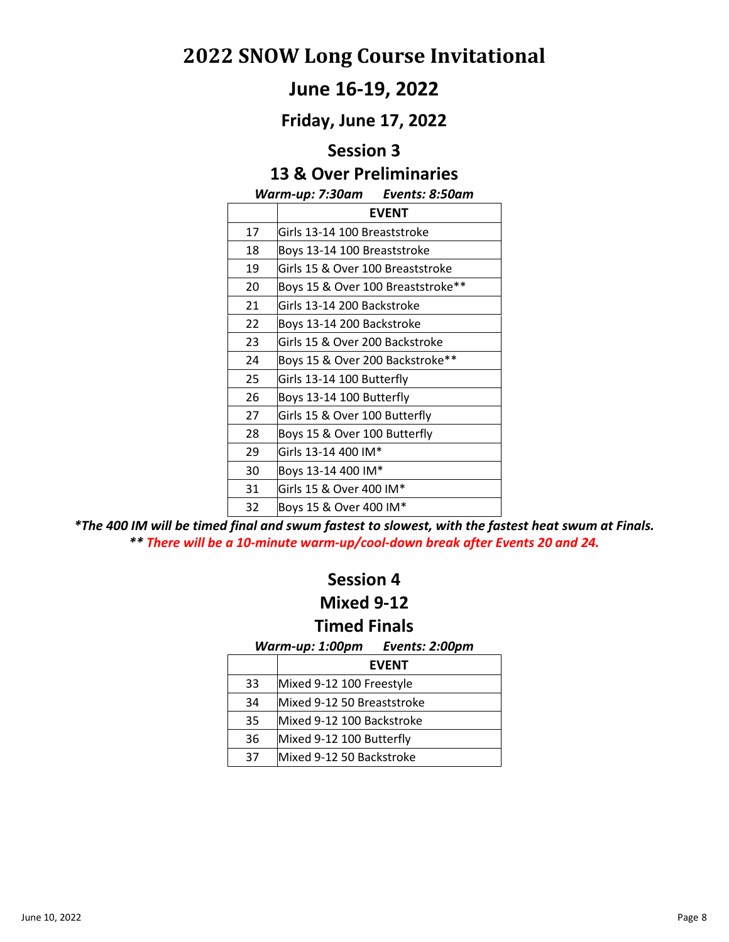## **June 16-19, 2022**

**Friday, June 17, 2022**

#### **Session 3**

## **13 & Over Preliminaries**

#### *Warm-up: 7:30am Events: 8:50am*

|    | <b>EVENT</b>                      |
|----|-----------------------------------|
| 17 | Girls 13-14 100 Breaststroke      |
| 18 | Boys 13-14 100 Breaststroke       |
| 19 | Girls 15 & Over 100 Breaststroke  |
| 20 | Boys 15 & Over 100 Breaststroke** |
| 21 | Girls 13-14 200 Backstroke        |
| 22 | Boys 13-14 200 Backstroke         |
| 23 | Girls 15 & Over 200 Backstroke    |
| 24 | Boys 15 & Over 200 Backstroke**   |
| 25 | Girls 13-14 100 Butterfly         |
| 26 | Boys 13-14 100 Butterfly          |
| 27 | Girls 15 & Over 100 Butterfly     |
| 28 | Boys 15 & Over 100 Butterfly      |
| 29 | Girls 13-14 400 IM*               |
| 30 | Boys 13-14 400 IM*                |
| 31 | Girls 15 & Over 400 IM*           |
| 32 | Boys 15 & Over 400 IM*            |

*\*The 400 IM will be timed final and swum fastest to slowest, with the fastest heat swum at Finals. \*\* There will be a 10-minute warm-up/cool-down break after Events 20 and 24.*

#### **Session 4**

#### **Mixed 9-12**

#### **Timed Finals**

*Warm-up: 1:00pm Events: 2:00pm* 

|    | <b>EVENT</b>               |
|----|----------------------------|
| 33 | Mixed 9-12 100 Freestyle   |
| 34 | Mixed 9-12 50 Breaststroke |
| 35 | Mixed 9-12 100 Backstroke  |
| 36 | Mixed 9-12 100 Butterfly   |
| 37 | lMixed 9-12 50 Backstroke  |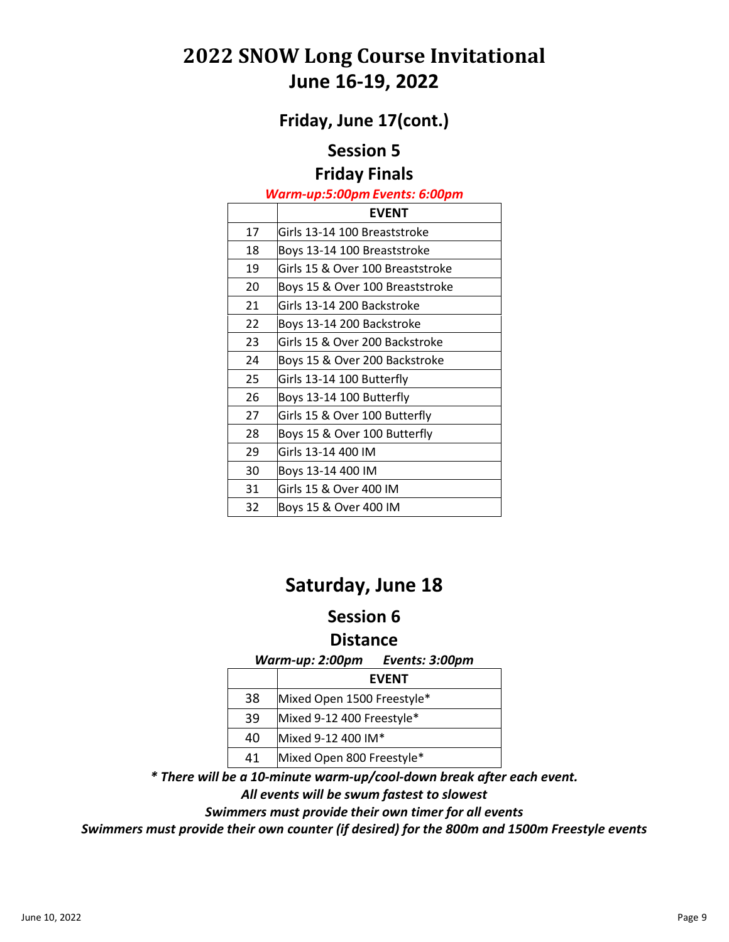# **2022 SNOW Long Course Invitational June 16-19, 2022**

**Friday, June 17(cont.)**

### **Session 5**

#### **Friday Finals**

#### *Warm-up:5:00pm Events: 6:00pm*

|    | <b>EVENT</b>                     |
|----|----------------------------------|
| 17 | Girls 13-14 100 Breaststroke     |
| 18 | Boys 13-14 100 Breaststroke      |
| 19 | Girls 15 & Over 100 Breaststroke |
| 20 | Boys 15 & Over 100 Breaststroke  |
| 21 | Girls 13-14 200 Backstroke       |
| 22 | Boys 13-14 200 Backstroke        |
| 23 | Girls 15 & Over 200 Backstroke   |
| 24 | Boys 15 & Over 200 Backstroke    |
| 25 | Girls 13-14 100 Butterfly        |
| 26 | Boys 13-14 100 Butterfly         |
| 27 | Girls 15 & Over 100 Butterfly    |
| 28 | Boys 15 & Over 100 Butterfly     |
| 29 | Girls 13-14 400 IM               |
| 30 | Boys 13-14 400 IM                |
| 31 | Girls 15 & Over 400 IM           |
| 32 | Boys 15 & Over 400 IM            |

# **Saturday, June 18**

## **Session 6**

#### **Distance**

*Warm-up: 2:00pm Events: 3:00pm*

|    | <b>EVENT</b>               |
|----|----------------------------|
| 38 | Mixed Open 1500 Freestyle* |
| 39 | Mixed 9-12 400 Freestyle*  |
| 40 | Mixed 9-12 400 IM*         |
| 41 | Mixed Open 800 Freestyle*  |

*\* There will be a 10-minute warm-up/cool-down break after each event.* 

*All events will be swum fastest to slowest*

*Swimmers must provide their own timer for all events*

*Swimmers must provide their own counter (if desired) for the 800m and 1500m Freestyle events*